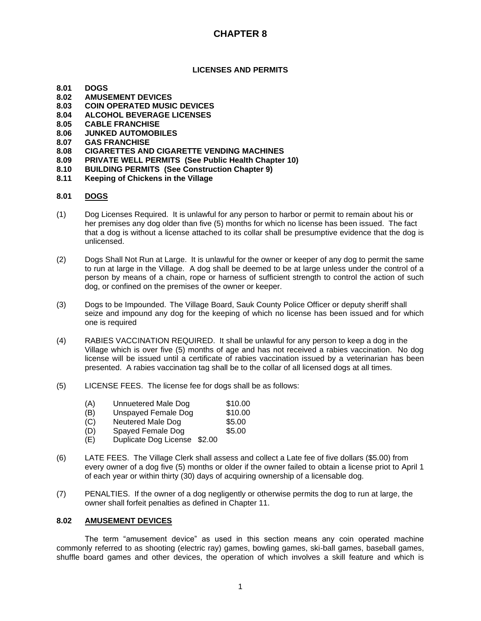### **LICENSES AND PERMITS**

- **8.01 DOGS**
- **8.02 AMUSEMENT DEVICES**
- **8.03 COIN OPERATED MUSIC DEVICES**
- **8.04 ALCOHOL BEVERAGE LICENSES**
- **8.05 CABLE FRANCHISE**
- **8.06 JUNKED AUTOMOBILES**
- **8.07 GAS FRANCHISE**
- **8.08 CIGARETTES AND CIGARETTE VENDING MACHINES**
- **8.09 PRIVATE WELL PERMITS (See Public Health Chapter 10)**
- **8.10 BUILDING PERMITS (See Construction Chapter 9)**
- **8.11 Keeping of Chickens in the Village**

### **8.01 DOGS**

- (1) Dog Licenses Required. It is unlawful for any person to harbor or permit to remain about his or her premises any dog older than five (5) months for which no license has been issued. The fact that a dog is without a license attached to its collar shall be presumptive evidence that the dog is unlicensed.
- (2) Dogs Shall Not Run at Large. It is unlawful for the owner or keeper of any dog to permit the same to run at large in the Village. A dog shall be deemed to be at large unless under the control of a person by means of a chain, rope or harness of sufficient strength to control the action of such dog, or confined on the premises of the owner or keeper.
- (3) Dogs to be Impounded. The Village Board, Sauk County Police Officer or deputy sheriff shall seize and impound any dog for the keeping of which no license has been issued and for which one is required
- (4) RABIES VACCINATION REQUIRED. It shall be unlawful for any person to keep a dog in the Village which is over five (5) months of age and has not received a rabies vaccination. No dog license will be issued until a certificate of rabies vaccination issued by a veterinarian has been presented. A rabies vaccination tag shall be to the collar of all licensed dogs at all times.
- (5) LICENSE FEES. The license fee for dogs shall be as follows:
	- (A) Unnuetered Male Dog \$10.00
	- (B) Unspayed Female Dog \$10.00
	- (C) Neutered Male Dog \$5.00
	- (D) Spayed Female Dog \$5.00
	- (E) Duplicate Dog License \$2.00
- (6) LATE FEES. The Village Clerk shall assess and collect a Late fee of five dollars (\$5.00) from every owner of a dog five (5) months or older if the owner failed to obtain a license priot to April 1 of each year or within thirty (30) days of acquiring ownership of a licensable dog.
- (7) PENALTIES. If the owner of a dog negligently or otherwise permits the dog to run at large, the owner shall forfeit penalties as defined in Chapter 11.

#### **8.02 AMUSEMENT DEVICES**

The term "amusement device" as used in this section means any coin operated machine commonly referred to as shooting (electric ray) games, bowling games, ski-ball games, baseball games, shuffle board games and other devices, the operation of which involves a skill feature and which is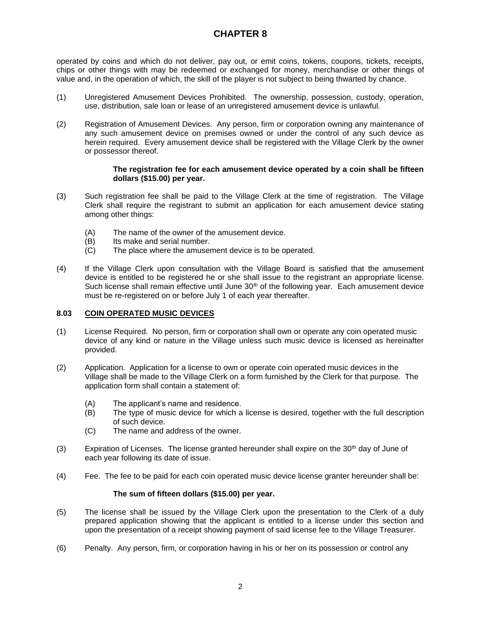operated by coins and which do not deliver, pay out, or emit coins, tokens, coupons, tickets, receipts, chips or other things with may be redeemed or exchanged for money, merchandise or other things of value and, in the operation of which, the skill of the player is not subject to being thwarted by chance.

- (1) Unregistered Amusement Devices Prohibited. The ownership, possession, custody, operation, use, distribution, sale loan or lease of an unregistered amusement device is unlawful.
- (2) Registration of Amusement Devices. Any person, firm or corporation owning any maintenance of any such amusement device on premises owned or under the control of any such device as herein required. Every amusement device shall be registered with the Village Clerk by the owner or possessor thereof.

#### **The registration fee for each amusement device operated by a coin shall be fifteen dollars (\$15.00) per year.**

- (3) Such registration fee shall be paid to the Village Clerk at the time of registration. The Village Clerk shall require the registrant to submit an application for each amusement device stating among other things:
	- $(A)$  The name of the owner of the amusement device.<br>(B) Its make and serial number.
	- Its make and serial number.
	- (C) The place where the amusement device is to be operated.
- (4) If the Village Clerk upon consultation with the Village Board is satisfied that the amusement device is entitled to be registered he or she shall issue to the registrant an appropriate license. Such license shall remain effective until June  $30<sup>th</sup>$  of the following year. Each amusement device must be re-registered on or before July 1 of each year thereafter.

### **8.03 COIN OPERATED MUSIC DEVICES**

- (1) License Required. No person, firm or corporation shall own or operate any coin operated music device of any kind or nature in the Village unless such music device is licensed as hereinafter provided.
- (2) Application. Application for a license to own or operate coin operated music devices in the Village shall be made to the Village Clerk on a form furnished by the Clerk for that purpose. The application form shall contain a statement of:
	- (A) The applicant's name and residence.
	- (B) The type of music device for which a license is desired, together with the full description of such device.
	- (C) The name and address of the owner.
- (3) Expiration of Licenses. The license granted hereunder shall expire on the  $30<sup>th</sup>$  day of June of each year following its date of issue.
- (4) Fee. The fee to be paid for each coin operated music device license granter hereunder shall be:

### **The sum of fifteen dollars (\$15.00) per year.**

- (5) The license shall be issued by the Village Clerk upon the presentation to the Clerk of a duly prepared application showing that the applicant is entitled to a license under this section and upon the presentation of a receipt showing payment of said license fee to the Village Treasurer.
- (6) Penalty. Any person, firm, or corporation having in his or her on its possession or control any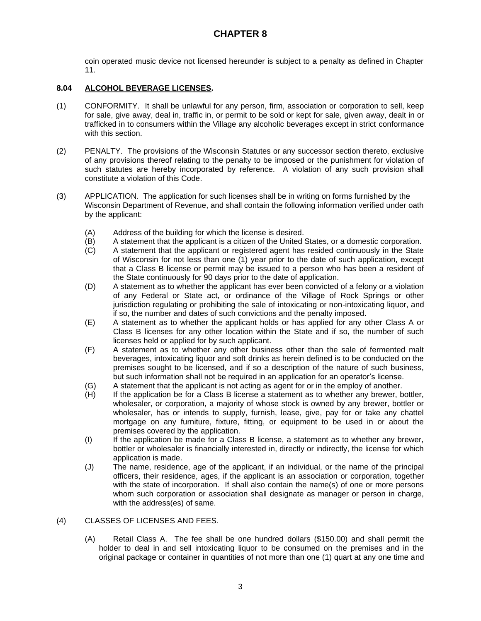coin operated music device not licensed hereunder is subject to a penalty as defined in Chapter 11.

## **8.04 ALCOHOL BEVERAGE LICENSES.**

- (1) CONFORMITY. It shall be unlawful for any person, firm, association or corporation to sell, keep for sale, give away, deal in, traffic in, or permit to be sold or kept for sale, given away, dealt in or trafficked in to consumers within the Village any alcoholic beverages except in strict conformance with this section.
- (2) PENALTY. The provisions of the Wisconsin Statutes or any successor section thereto, exclusive of any provisions thereof relating to the penalty to be imposed or the punishment for violation of such statutes are hereby incorporated by reference. A violation of any such provision shall constitute a violation of this Code.
- (3) APPLICATION. The application for such licenses shall be in writing on forms furnished by the Wisconsin Department of Revenue, and shall contain the following information verified under oath by the applicant:
	- (A) Address of the building for which the license is desired.<br>(B) A statement that the applicant is a citizen of the United &
	- A statement that the applicant is a citizen of the United States, or a domestic corporation.
	- (C) A statement that the applicant or registered agent has resided continuously in the State of Wisconsin for not less than one (1) year prior to the date of such application, except that a Class B license or permit may be issued to a person who has been a resident of the State continuously for 90 days prior to the date of application.
	- (D) A statement as to whether the applicant has ever been convicted of a felony or a violation of any Federal or State act, or ordinance of the Village of Rock Springs or other jurisdiction regulating or prohibiting the sale of intoxicating or non-intoxicating liquor, and if so, the number and dates of such convictions and the penalty imposed.
	- (E) A statement as to whether the applicant holds or has applied for any other Class A or Class B licenses for any other location within the State and if so, the number of such licenses held or applied for by such applicant.
	- (F) A statement as to whether any other business other than the sale of fermented malt beverages, intoxicating liquor and soft drinks as herein defined is to be conducted on the premises sought to be licensed, and if so a description of the nature of such business, but such information shall not be required in an application for an operator's license.
	- (G) A statement that the applicant is not acting as agent for or in the employ of another.
	- (H) If the application be for a Class B license a statement as to whether any brewer, bottler, wholesaler, or corporation, a majority of whose stock is owned by any brewer, bottler or wholesaler, has or intends to supply, furnish, lease, give, pay for or take any chattel mortgage on any furniture, fixture, fitting, or equipment to be used in or about the premises covered by the application.
	- (I) If the application be made for a Class B license, a statement as to whether any brewer, bottler or wholesaler is financially interested in, directly or indirectly, the license for which application is made.
	- (J) The name, residence, age of the applicant, if an individual, or the name of the principal officers, their residence, ages, if the applicant is an association or corporation, together with the state of incorporation. If shall also contain the name(s) of one or more persons whom such corporation or association shall designate as manager or person in charge, with the address(es) of same.

### (4) CLASSES OF LICENSES AND FEES.

(A) Retail Class A. The fee shall be one hundred dollars (\$150.00) and shall permit the holder to deal in and sell intoxicating liquor to be consumed on the premises and in the original package or container in quantities of not more than one (1) quart at any one time and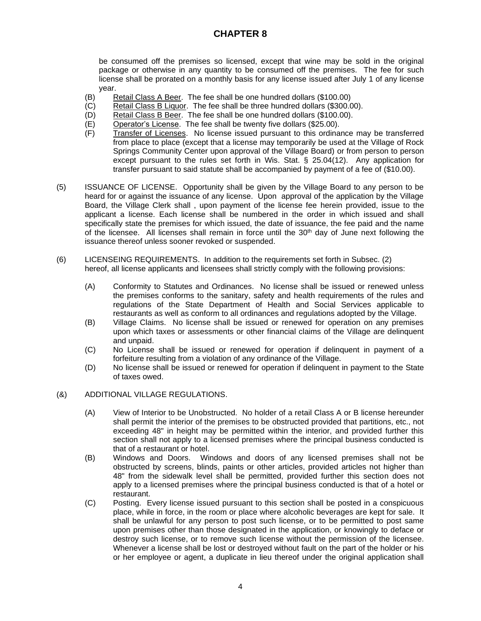be consumed off the premises so licensed, except that wine may be sold in the original package or otherwise in any quantity to be consumed off the premises. The fee for such license shall be prorated on a monthly basis for any license issued after July 1 of any license year.

- (B) Retail Class A Beer. The fee shall be one hundred dollars (\$100.00)
- (C) Retail Class B Liquor. The fee shall be three hundred dollars (\$300.00).
- (D) Retail Class B Beer. The fee shall be one hundred dollars (\$100.00).
- (E) Operator's License. The fee shall be twenty five dollars (\$25.00).
- (F) Transfer of Licenses. No license issued pursuant to this ordinance may be transferred from place to place (except that a license may temporarily be used at the Village of Rock Springs Community Center upon approval of the Village Board) or from person to person except pursuant to the rules set forth in Wis. Stat. § 25.04(12). Any application for transfer pursuant to said statute shall be accompanied by payment of a fee of (\$10.00).
- (5) ISSUANCE OF LICENSE. Opportunity shall be given by the Village Board to any person to be heard for or against the issuance of any license. Upon approval of the application by the Village Board, the Village Clerk shall , upon payment of the license fee herein provided, issue to the applicant a license. Each license shall be numbered in the order in which issued and shall specifically state the premises for which issued, the date of issuance, the fee paid and the name of the licensee. All licenses shall remain in force until the 30<sup>th</sup> day of June next following the issuance thereof unless sooner revoked or suspended.
- (6) LICENSEING REQUIREMENTS. In addition to the requirements set forth in Subsec. (2) hereof, all license applicants and licensees shall strictly comply with the following provisions:
	- (A) Conformity to Statutes and Ordinances. No license shall be issued or renewed unless the premises conforms to the sanitary, safety and health requirements of the rules and regulations of the State Department of Health and Social Services applicable to restaurants as well as conform to all ordinances and regulations adopted by the Village.
	- (B) Village Claims. No license shall be issued or renewed for operation on any premises upon which taxes or assessments or other financial claims of the Village are delinquent and unpaid.
	- (C) No License shall be issued or renewed for operation if delinquent in payment of a forfeiture resulting from a violation of any ordinance of the Village.
	- (D) No license shall be issued or renewed for operation if delinquent in payment to the State of taxes owed.
- (&) ADDITIONAL VILLAGE REGULATIONS.
	- (A) View of Interior to be Unobstructed. No holder of a retail Class A or B license hereunder shall permit the interior of the premises to be obstructed provided that partitions, etc., not exceeding 48" in height may be permitted within the interior, and provided further this section shall not apply to a licensed premises where the principal business conducted is that of a restaurant or hotel.
	- (B) Windows and Doors. Windows and doors of any licensed premises shall not be obstructed by screens, blinds, paints or other articles, provided articles not higher than 48" from the sidewalk level shall be permitted, provided further this section does not apply to a licensed premises where the principal business conducted is that of a hotel or restaurant.
	- (C) Posting. Every license issued pursuant to this section shall be posted in a conspicuous place, while in force, in the room or place where alcoholic beverages are kept for sale. It shall be unlawful for any person to post such license, or to be permitted to post same upon premises other than those designated in the application, or knowingly to deface or destroy such license, or to remove such license without the permission of the licensee. Whenever a license shall be lost or destroyed without fault on the part of the holder or his or her employee or agent, a duplicate in lieu thereof under the original application shall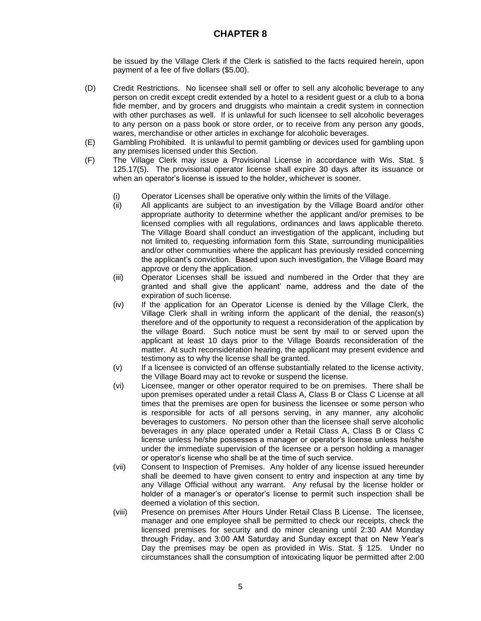be issued by the Village Clerk if the Clerk is satisfied to the facts required herein, upon payment of a fee of five dollars (\$5.00).

- (D) Credit Restrictions. No licensee shall sell or offer to sell any alcoholic beverage to any person on credit except credit extended by a hotel to a resident guest or a club to a bona fide member, and by grocers and druggists who maintain a credit system in connection with other purchases as well. If is unlawful for such licensee to sell alcoholic beverages to any person on a pass book or store order, or to receive from any person any goods, wares, merchandise or other articles in exchange for alcoholic beverages.
- (E) Gambling Prohibited. It is unlawful to permit gambling or devices used for gambling upon any premises licensed under this Section.
- (F) The Village Clerk may issue a Provisional License in accordance with Wis. Stat. § 125.17(5). The provisional operator license shall expire 30 days after its issuance or when an operator's license is issued to the holder, whichever is sooner.
	- (i) Operator Licenses shall be operative only within the limits of the Village.
	- (ii) All applicants are subject to an investigation by the Village Board and/or other appropriate authority to determine whether the applicant and/or premises to be licensed complies with all regulations, ordinances and laws applicable thereto. The Village Board shall conduct an investigation of the applicant, including but not limited to, requesting information form this State, surrounding municipalities and/or other communities where the applicant has previously resided concerning the applicant's conviction. Based upon such investigation, the Village Board may approve or deny the application.
	- (iii) Operator Licenses shall be issued and numbered in the Order that they are granted and shall give the applicant' name, address and the date of the expiration of such license.
	- (iv) If the application for an Operator License is denied by the Village Clerk, the Village Clerk shall in writing inform the applicant of the denial, the reason(s) therefore and of the opportunity to request a reconsideration of the application by the village Board. Such notice must be sent by mail to or served upon the applicant at least 10 days prior to the Village Boards reconsideration of the matter. At such reconsideration hearing, the applicant may present evidence and testimony as to why the license shall be granted.
	- (v) If a licensee is convicted of an offense substantially related to the license activity, the Village Board may act to revoke or suspend the license.
	- (vi) Licensee, manger or other operator required to be on premises. There shall be upon premises operated under a retail Class A, Class B or Class C License at all times that the premises are open for business the licensee or some person who is responsible for acts of all persons serving, in any manner, any alcoholic beverages to customers. No person other than the licensee shall serve alcoholic beverages in any place operated under a Retail Class A, Class B or Class C license unless he/she possesses a manager or operator's license unless he/she under the immediate supervision of the licensee or a person holding a manager or operator's license who shall be at the time of such service.
	- (vii) Consent to Inspection of Premises. Any holder of any license issued hereunder shall be deemed to have given consent to entry and inspection at any time by any Village Official without any warrant. Any refusal by the license holder or holder of a manager's or operator's license to permit such inspection shall be deemed a violation of this section.
	- (viii) Presence on premises After Hours Under Retail Class B License. The licensee, manager and one employee shall be permitted to check our receipts, check the licensed premises for security and do minor cleaning until 2:30 AM Monday through Friday, and 3:00 AM Saturday and Sunday except that on New Year's Day the premises may be open as provided in Wis. Stat. § 125. Under no circumstances shall the consumption of intoxicating liquor be permitted after 2:00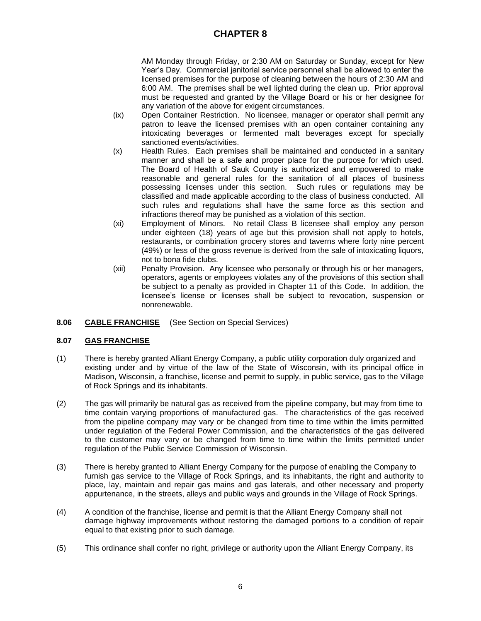AM Monday through Friday, or 2:30 AM on Saturday or Sunday, except for New Year's Day. Commercial janitorial service personnel shall be allowed to enter the licensed premises for the purpose of cleaning between the hours of 2:30 AM and 6:00 AM. The premises shall be well lighted during the clean up. Prior approval must be requested and granted by the Village Board or his or her designee for any variation of the above for exigent circumstances.

- (ix) Open Container Restriction. No licensee, manager or operator shall permit any patron to leave the licensed premises with an open container containing any intoxicating beverages or fermented malt beverages except for specially sanctioned events/activities.
- (x) Health Rules. Each premises shall be maintained and conducted in a sanitary manner and shall be a safe and proper place for the purpose for which used. The Board of Health of Sauk County is authorized and empowered to make reasonable and general rules for the sanitation of all places of business possessing licenses under this section. Such rules or regulations may be classified and made applicable according to the class of business conducted. All such rules and regulations shall have the same force as this section and infractions thereof may be punished as a violation of this section.
- (xi) Employment of Minors. No retail Class B licensee shall employ any person under eighteen (18) years of age but this provision shall not apply to hotels, restaurants, or combination grocery stores and taverns where forty nine percent (49%) or less of the gross revenue is derived from the sale of intoxicating liquors, not to bona fide clubs.
- (xii) Penalty Provision. Any licensee who personally or through his or her managers, operators, agents or employees violates any of the provisions of this section shall be subject to a penalty as provided in Chapter 11 of this Code. In addition, the licensee's license or licenses shall be subject to revocation, suspension or nonrenewable.
- **8.06 CABLE FRANCHISE** (See Section on Special Services)

### **8.07 GAS FRANCHISE**

- (1) There is hereby granted Alliant Energy Company, a public utility corporation duly organized and existing under and by virtue of the law of the State of Wisconsin, with its principal office in Madison, Wisconsin, a franchise, license and permit to supply, in public service, gas to the Village of Rock Springs and its inhabitants.
- (2) The gas will primarily be natural gas as received from the pipeline company, but may from time to time contain varying proportions of manufactured gas. The characteristics of the gas received from the pipeline company may vary or be changed from time to time within the limits permitted under regulation of the Federal Power Commission, and the characteristics of the gas delivered to the customer may vary or be changed from time to time within the limits permitted under regulation of the Public Service Commission of Wisconsin.
- (3) There is hereby granted to Alliant Energy Company for the purpose of enabling the Company to furnish gas service to the Village of Rock Springs, and its inhabitants, the right and authority to place, lay, maintain and repair gas mains and gas laterals, and other necessary and property appurtenance, in the streets, alleys and public ways and grounds in the Village of Rock Springs.
- (4) A condition of the franchise, license and permit is that the Alliant Energy Company shall not damage highway improvements without restoring the damaged portions to a condition of repair equal to that existing prior to such damage.
- (5) This ordinance shall confer no right, privilege or authority upon the Alliant Energy Company, its